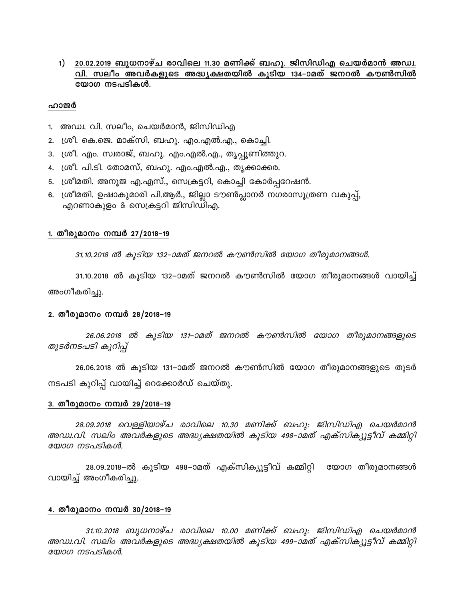# 1) **20.02.2019 ബുധനാഴ്ച രാവിലെ 11.30 മണിക്ക്** ബഹു. ജിസിഡിഎ ചെയർമാൻ അഡ്വ. **hn. keow AhÀIfpsS A²y£Xbnð IqSnb 134þmaXv P\dð Iu¬knð** യോഗ $\mu$  നടപടികൾ.

#### ഹാജർ

- 1. അഡ്വ. വി. സലീം, ചെയർമാൻ, ജിസിഡിഎ
- 2. (ശീ. കെ.ജെ. മാക്സി, ബഹു. എം.എൽ.എ., കൊച്ചി.
- 3. ശ്രീ. എം. സ്വരാജ്, ബഹു. എം.എൽ.എ., തൃപ്പൂണിത്തുറ.
- 4. ശ്രീ. പി.ടി. തോമസ്, ബഹു. എം.എൽ.എ., തൃക്കാക്കര.
- 5. ്ശ്രീമതി. അനൂജ എ.എസ്., സെക്രട്ടറി, കൊച്ചി കോർപ്പറേഷൻ.
- 6. ശ്രീമതി. ഉഷാകുമാരി പി.ആർ., ജില്ലാ ടൗൺപ്ലാനർ നഗരാസൂത്രണ വകുപ്പ്, എറണാകുളം & സെക്രട്ടറി ജിസിഡിഎ.

### 1. തീരുമാനം നമ്പർ 27/2018–19

31.10.2018 ൽ കുടിയ 132–ാമത് ജനറൽ കൗൺസിൽ യോഗ തീരുമാനങ്ങൾ.

31.10.2018 ൽ കൂടിയ 132–ാമത് ജനറൽ കൗൺസിൽ യോഗ തീരുമാനങ്ങൾ വായിച്ച് അംഗീകരിച്ചു.

## 2. തീരുമാനം നമ്പർ **28/2018**–19

*26.06.2018 ð IqSnb 131þmaXv P\dð Iu¬knð tbmK Xocpam\§fpsS തുടർനടപടി കുറിപ്പ്* 

 $26.06.2018$  ൽ കുടിയ 131–ാമത് ജനറൽ കൗൺസിൽ യോഗ തീരുമാനങ്ങളുടെ തുടർ നടപടി കുറിപ്പ് വായിച്ച് റെക്കോർഡ് ചെയ്തു.

## 3. തീരുമാനം നമ്പർ **29/2018**–19

28.09.2018 വെള്ളിയാഴ്ച രാവിലെ 10.30 മണിക്ക് ബഹു*: ജിസിഡിഎ ചെയർമാൻ അഡ്വ.വി. സലിം അവർകളുടെ അദ്ധ്യക്ഷതയിൽ കൂടിയ 498–ാമത് എക്സിക്യൂട്ടീവ് കമ്മിറ്റി*  $\omega$ *sobo msalslabut.* 

28.09.2018–ൽ കൂടിയ 498–ാമത് എക്സിക്യൂട്ടീവ് കമ്മിറ്റി യോഗ തീരുമാനങ്ങൾ വായിച്ച് അംഗീകരിച്ചു.

## <u>4. തീരുമാനം നമ്പർ 30/2018–19</u>

31.10.2018 ബുധനാഴ്ച രാവിലെ 10.00 മണിക്ക് ബഹു: ജിസിഡിഎ ചെയർമാൻ *അഡ്വ.വി. സലിം അവർകളുടെ അദ്ധ്യക്ഷതയിൽ കൂടിയ 499–ാമത് എക്സിക്യൂട്ടീവ് കമ്മിറ്റി യോഗ നടപടികൾ.*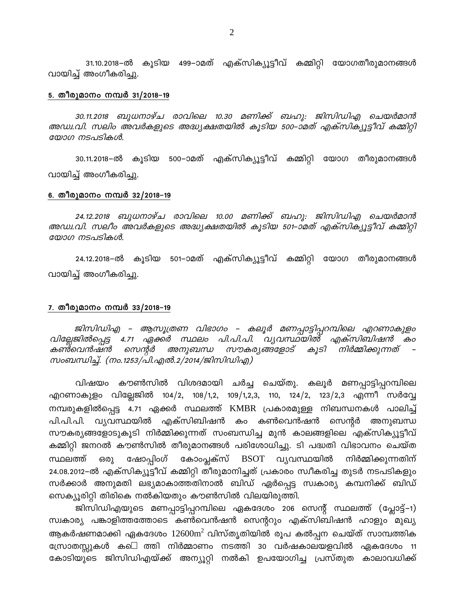31.10.2018–ൽ കൂടിയ 499–ാമത് എക്സിക്യൂട്ടീവ് കമ്മിറ്റി യോഗതീരുമാനങ്ങൾ വായിച്ച് അംഗീകരിച്ചു.

#### 5. തീരുമാനം നമ്പർ **31/2018**–19

30.11.2018 ബുധനാഴ്ച രാവിലെ 10.30 മണിക്ക് ബഹു*: ജിസിഡിഎ ചെയർമാൻ AUz.hn. kenw AhÀIfpsS A²y£Xbnð IqSnb 500þmaXv FIvknIyq«ohv I½nän*   $\epsilon$ യാഗ നടപടികൾ.

30.11.2018–ൽ കൂടിയ 500–ാമത് എക്സിക്യൂട്ടീവ് കമ്മിറ്റി യോഗ തീരുമാനങ്ങൾ വായിച്ച് അംഗീകരിച്ചു.

### <u>6. തീരുമാനം നമ്പർ 32/2018–19</u>

24.12.2018 ബുധനാഴ്ച രാവിലെ 10.00 മണിക്ക് ബഹു: ജിസിഡിഎ ചെയർമാൻ *AUz.hn. keow AhÀIfpsS A²y£Xbnð IqSnb 501þmaXv FIvknIyq«ohv I½nän*  യോഗ നടപടികൾ.

24.12.2018–ൽ കൂടിയ 501–ാമത് എക്സിക്യൂട്ടീവ് കമ്മിറ്റി യോഗ തീരുമാനങ്ങൾ വായിച്ച് അംഗീകരിച്ചു.

### <u>7. തീരുമാനം നമ്പർ 33/2018–19</u>

 $P(X|X)$  *m* Baghagam and Baro – കലൂർ മണപ്പാട്ടിപ്പറമ്പിലെ എറണാകുളം വില്ലേജിൽപ്പെട്ട 4.71 ഏക്കർ സ്ഥലം പി.പി.പി. വ്യവസ്ഥയിൽ എക്സിബിഷൻ കം<br>കൺവെൻഷൻ സെന്റർ അനുബന്ധ സൗകര്യങ്ങളോട് കൂടി നിർമ്മിക്കുന്നത് – *സൗകര്യങ്ങളോട് കൂടി നിർമ്മിക്കുന്നത് – സംബന്ധിച്ച്. (നം.1253/പി.എൽ.2/2014/ജിസിഡിഎ)* 

വിഷയം കൗൺസിൽ വിശദമായി ചർച്ച ചെയ്തു. കലൂർ മണപ്പാട്ടിപ്പറമ്പിലെ എറണാകുളം വില്ലേജിൽ 104/2, 108/1,2, 109/1,2,3, 110, 124/2, 123/2,3 എന്നീ സർവ്വേ നമ്പരുകളിൽപ്പെട്ട 4.71 ഏക്കർ സ്ഥലത്ത് KMBR പ്രകാരമുള്ള നിബന്ധനകൾ പാലിച്ച് പി.പി.പി. വ്യവസ്ഥയിൽ എക്സിബിഷൻ കം കൺവെൻഷൻ സെന്റർ അനുബന്ധ സൗകര്യങ്ങളോടുകൂടി നിർമ്മിക്കുന്നത് സംബന്ധിച്ച മുൻ കാലങ്ങളിലെ എക്സിക്യൂട്ടീവ് കമ്മിറ്റി ജനറൽ കൗൺസിൽ തീരുമാനങ്ങൾ പരിശോധിച്ചു. ടി പദ്ധതി വിഭാവനം ചെയ്ത സ്ഥലത്ത് ഒരു ഷോപ്പിംഗ് കോംപ്ലക്സ് BSOT വ്യവസ്ഥയിൽ നിർമ്മിക്കുന്നതിന് 24.08.2012–ൽ എക്സിക്യൂട്ടീവ് കമ്മിറ്റി തീരുമാനിച്ചത് പ്രകാരം സ്വീകരിച്ച തുടർ നടപടികളും സർക്കാർ അനുമതി ലഭ്യമാകാത്തതിനാൽ ബിഡ് ഏർപ്പെട്ട സ്വകാര്യ കമ്പനിക്ക് ബിഡ് സെക്യൂരിറ്റി തിരികെ നൽകിയതും കൗൺസിൽ വിലയിരുത്തി.

ജിസിഡിഎയുടെ മണപ്പാട്ടിപ്പറമ്പിലെ ഏകദേശം 206 സെന്റ് സ്ഥലത്ത് (പ്ലോട്ട്–1) സ്വകാര്യ പങ്കാളിത്തത്തോടെ കൺവെൻഷൻ സെന്ററും എക്സിബിഷൻ ഹാളും മുഖ്യ ആകർഷണമാക്കി ഏകദേശം  $12600\text{m}^2$  വിസ്തൃതിയിൽ രൂപ കൽപ്പന ചെയ്ത് സാമ്പത്തിക സ്രോതസ്സുകൾ ക–െ ത്തി നിർമ്മാണം നടത്തി 30 വർഷകാലയളവിൽ ഏകദേശം 11 കോടിയുടെ ജിസിഡിഎയ്ക്ക് അന്യൂറ്റി നൽകി ഉപയോഗിച്ച പ്രസ്തുത കാലാവധിക്ക്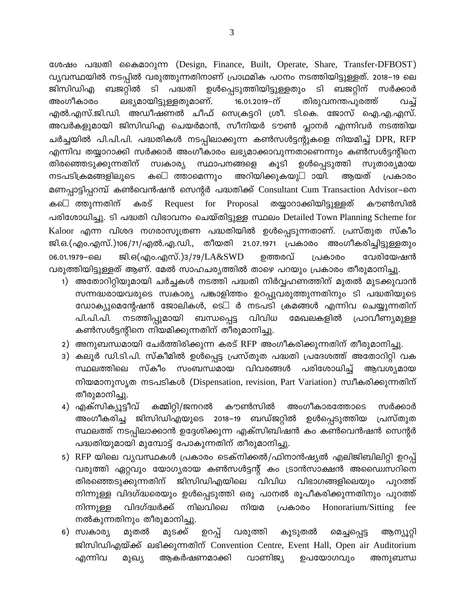ശേഷം പദ്ധതി കൈമാറുന്ന (Design, Finance, Built, Operate, Share, Transfer-DFBOST) വ്യവസ്ഥയിൽ നടപ്പിൽ വരുത്തുന്നതിനാണ് പ്രാഥമിക പഠനം നടത്തിയിട്ടുള്ളത്. 2018–19 ലെ ബജറ്റിൽ ടി പദ്ധതി ഉൾപ്പെടുത്തിയിട്ടുള്ളതും ടി ബജറ്റിന് സർക്കാർ ജിസിഡിഎ അംഗീകാരം ലഭ്യമായിട്ടുള്ളതുമാണ്. 16.01.2019 - ന് തിരുവനന്തപുരത്ത് பவு എൽ.എസ്.ജി.ഡി. അഡീഷണൽ ചീഫ് സെക്രട്ടറി ശ്രീ. ടി.കെ. ജോസ് ഐ.എ.എസ്. അവർകളുമായി ജിസിഡിഎ ചെയർമാൻ, സീനിയർ ടൗൺ പ്ലാനർ എന്നിവർ നടത്തിയ ചർച്ചയിൽ പി.പി.പി. പദ്ധതികൾ നടപ്പിലാക്കുന്ന കൺസൾട്ടന്റുകളെ നിയമിച്ച് DPR, RFP എന്നിവ തയ്യാറാക്കി സർക്കാർ അംഗീകാരം ലഭ്യമാക്കാവുന്നതാണെന്നും കൺസൾട്ടന്റിനെ തിരഞ്ഞെടുക്കുന്നതിന് ഉൾപ്പെടുത്തി സുതാര്യമായ സ്വകാര്യ സ്ഥാപനങ്ങളെ കൂടി നടപടിക്രമങ്ങളിലൂടെ ത്താമെന്നും അറിയിക്കുകയു- ായി. അയത് ക—െ പ്രകാരം മണപ്പാട്ടിപ്പറമ്പ് കൺവെൻഷൻ സെന്റർ പദ്ധതിക്ക് Consultant Cum Transaction Advisor–നെ ക–െ ത്തുന്നതിന് കരട് Request for Proposal തയ്യാറാക്കിയിട്ടുള്ളത് കൗൺസിൽ പരിശോധിച്ചു. ടി പദ്ധതി വിഭാവനം ചെയ്തിട്ടുള്ള സ്ഥലം Detailed Town Planning Scheme for Kaloor എന്ന വിശദ നഗരാസൂത്രണ പദ്ധതിയിൽ ഉൾപ്പെടുന്നതാണ്. പ്രസ്തുത സ്കീം ജി.ഒ.(എം.എസ്.)106/71/എൽ.എ.ഡി., തീയതി 21.07.1971 പ്രകാരം അംഗീകരിച്ചിട്ടുള്ളതും ജി.ഒ(എം.എസ്.)3/79/LA&SWD 06.01.1979-6ല ഉത്തരവ് വേരിയേഷൻ പ്രകാരം വരുത്തിയിട്ടുള്ളത് ആണ്. മേൽ സാഹചര്യത്തിൽ താഴെ പറയും പ്രകാരം തീരുമാനിച്ചു.

- 1) അതോറിറ്റിയുമായി ചർച്ചകൾ നടത്തി പദ്ധതി നിർവ്വഹണത്തിന് മുതൽ മുടക്കുവാൻ സന്നദ്ധരായവരുടെ സ്വകാര്യ പങ്കാളിത്തം ഉറപ്പുവരുത്തുന്നതിനും ടി പദ്ധതിയുടെ ഡോക്യുമെന്റേഷൻ ജോലികൾ, ടെ<del>-</del> ർ നടപടി ക്രമങ്ങൾ എന്നിവ ചെയ്യുന്നതിന് നടത്തിപ്പുമായി ബന്ധപ്പെട്ട വിവിധ മേഖലകളിൽ പ്രാവീണ്യമുള്ള പി.പി.പി. കൺസൾട്ടന്റിനെ നിയമിക്കുന്നതിന് തീരുമാനിച്ചു.
- 2) അനുബന്ധമായി ചേർത്തിരിക്കുന്ന കരട് RFP അംഗീകരിക്കുന്നതിന് തീരുമാനിച്ചു.
- 3) കലൂർ ഡി.ടി.പി. സ്കീമിൽ ഉൾപ്പെട്ട പ്രസ്തുത പദ്ധതി പ്രദേശത്ത് അതോറിറ്റി വക സ്കീം സംബന്ധമായ വിവരങ്ങൾ സ്ഥലത്തിലെ പരിശോധിച്ച് ആവശ്യമായ നിയമാനുസൃത നടപടികൾ (Dispensation, revision, Part Variation) സ്വീകരിക്കുന്നതിന് തീരുമാനിച്ചു.
- 4) എക്സിക്യൂട്ടീവ് കൗൺസിൽ അംഗീകാരത്തോടെ സർക്കാർ കമ്മിറ്റി/ജനറൽ ഉൾപ്പെടുത്തിയ ജിസിഡിഎയുടെ 2018–19 ബഡ്ജറ്റിൽ അംഗീകരിച്ച പ്രസ്തുത സ്ഥലത്ത് നടപ്പിലാക്കാൻ ഉദ്ദേശിക്കുന്ന എക്സിബിഷൻ കം കൺവെൻഷൻ സെന്റർ പദ്ധതിയുമായി മുമ്പോട്ട് പോകുന്നതിന് തീരുമാനിച്ചു.
- 5) RFP യിലെ വ്യവസ്ഥകൾ പ്രകാരം ടെക്നിക്കൽ/ഫിനാൻഷ്യൽ എലിജിബിലിറ്റി ഉറപ്പ് വരുത്തി ഏറ്റവും യോഗ്യരായ കൺസൾട്ടന്റ് കം ട്രാൻസാക്ഷൻ അഡ്വൈസറിനെ ജിസിഡിഎയിലെ വിവിധ വിഭാഗങ്ങളിലെയും തിരഞ്ഞെടുക്കുന്നതിന് പുറത്ത് നിന്നുള്ള വിദഗ്ദ്ധരെയും ഉൾപ്പെടുത്തി ഒരു പാനൽ രൂപീകരിക്കുന്നതിനും പുറത്ത് നിയമ നിന്നുള്ള വിദഗ്ദ്ധർക്ക് നിലവിലെ പ്രകാരം Honorarium/Sitting fee നൽകുന്നതിനും തീരുമാനിച്ചു.
- ഉറപ്പ് വരുത്തി 6) സ്വകാര്യ മുതൽ മുടക്ക് കൂടുതൽ മെച്ചപ്പെട്ട ആന്യൂറ്റി ജിസിഡിഎയ്ക്ക് ലഭിക്കുന്നതിന് Convention Centre, Event Hall, Open air Auditorium എന്നിവ മുഖ്യ ആകർഷണമാക്കി വാണിജ്യ ഉപയോഗവും അനുബന്ധ